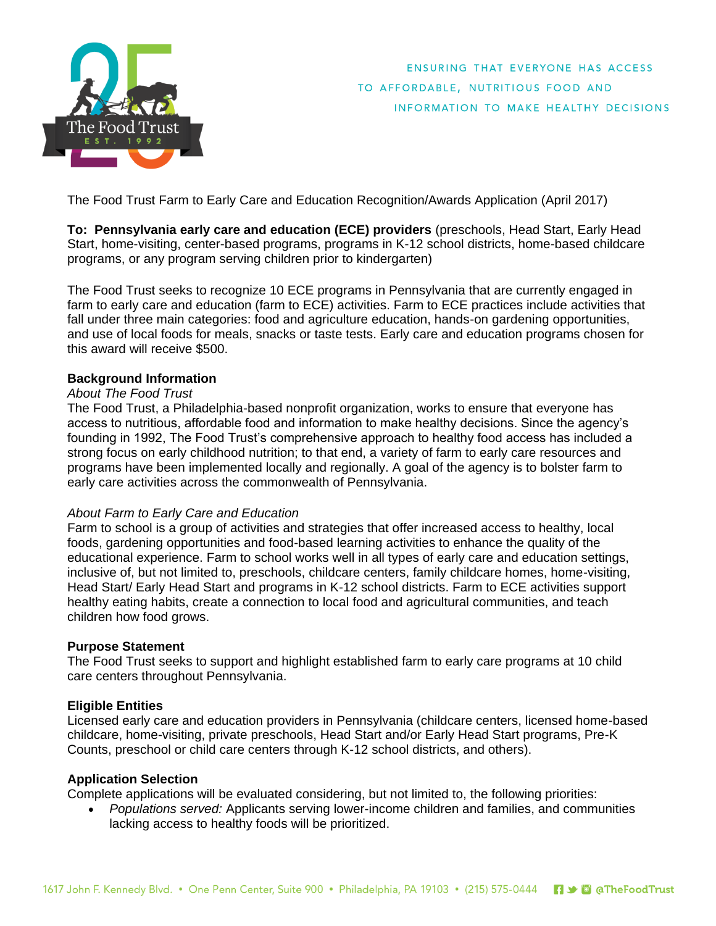

ENSURING THAT EVERYONE HAS ACCESS TO AFFORDABLE, NUTRITIOUS FOOD AND INFORMATION TO MAKE HEALTHY DECISIONS

The Food Trust Farm to Early Care and Education Recognition/Awards Application (April 2017)

**To: Pennsylvania early care and education (ECE) providers** (preschools, Head Start, Early Head Start, home-visiting, center-based programs, programs in K-12 school districts, home-based childcare programs, or any program serving children prior to kindergarten)

The Food Trust seeks to recognize 10 ECE programs in Pennsylvania that are currently engaged in farm to early care and education (farm to ECE) activities. Farm to ECE practices include activities that fall under three main categories: food and agriculture education, hands-on gardening opportunities, and use of local foods for meals, snacks or taste tests. Early care and education programs chosen for this award will receive \$500.

### **Background Information**

### *About The Food Trust*

The Food Trust, a Philadelphia-based nonprofit organization, works to ensure that everyone has access to nutritious, affordable food and information to make healthy decisions. Since the agency's founding in 1992, The Food Trust's comprehensive approach to healthy food access has included a strong focus on early childhood nutrition; to that end, a variety of farm to early care resources and programs have been implemented locally and regionally. A goal of the agency is to bolster farm to early care activities across the commonwealth of Pennsylvania.

### *About Farm to Early Care and Education*

Farm to school is a group of activities and strategies that offer increased access to healthy, local foods, gardening opportunities and food-based learning activities to enhance the quality of the educational experience. Farm to school works well in all types of early care and education settings, inclusive of, but not limited to, preschools, childcare centers, family childcare homes, home-visiting, Head Start/ Early Head Start and programs in K-12 school districts. Farm to ECE activities support healthy eating habits, create a connection to local food and agricultural communities, and teach children how food grows.

### **Purpose Statement**

The Food Trust seeks to support and highlight established farm to early care programs at 10 child care centers throughout Pennsylvania.

### **Eligible Entities**

Licensed early care and education providers in Pennsylvania (childcare centers, licensed home-based childcare, home-visiting, private preschools, Head Start and/or Early Head Start programs, Pre-K Counts, preschool or child care centers through K-12 school districts, and others).

### **Application Selection**

Complete applications will be evaluated considering, but not limited to, the following priorities:

 *Populations served:* Applicants serving lower-income children and families, and communities lacking access to healthy foods will be prioritized.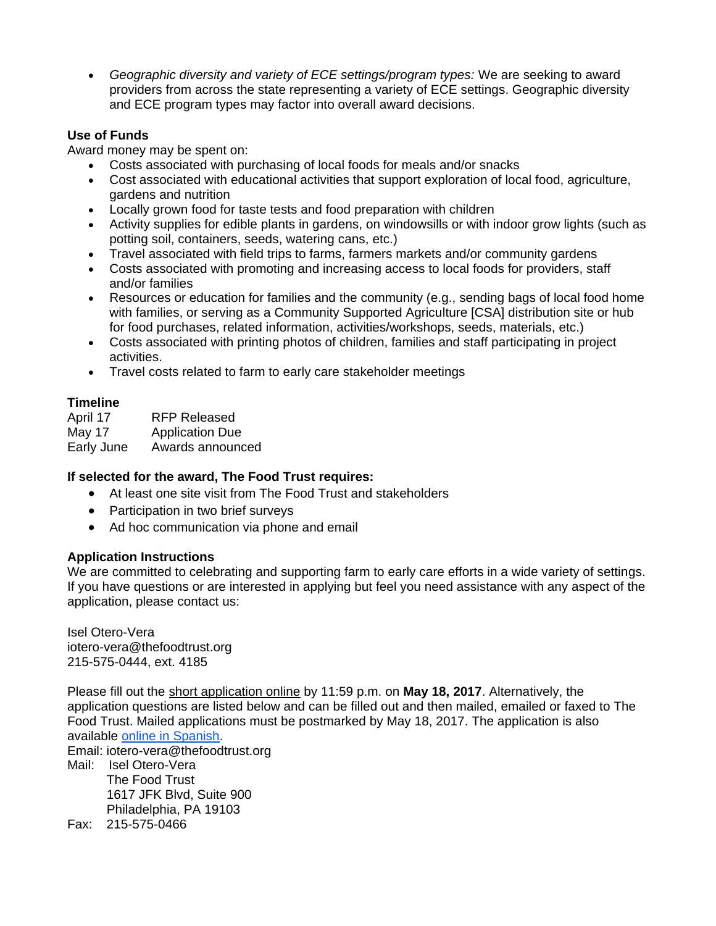*Geographic diversity and variety of ECE settings/program types:* We are seeking to award providers from across the state representing a variety of ECE settings. Geographic diversity and ECE program types may factor into overall award decisions.

## **Use of Funds**

Award money may be spent on:

- Costs associated with purchasing of local foods for meals and/or snacks
- Cost associated with educational activities that support exploration of local food, agriculture, gardens and nutrition
- Locally grown food for taste tests and food preparation with children
- Activity supplies for edible plants in gardens, on windowsills or with indoor grow lights (such as potting soil, containers, seeds, watering cans, etc.)
- Travel associated with field trips to farms, farmers markets and/or community gardens
- Costs associated with promoting and increasing access to local foods for providers, staff and/or families
- Resources or education for families and the community (e.g., sending bags of local food home with families, or serving as a Community Supported Agriculture [CSA] distribution site or hub for food purchases, related information, activities/workshops, seeds, materials, etc.)
- Costs associated with printing photos of children, families and staff participating in project activities.
- Travel costs related to farm to early care stakeholder meetings

# **Timeline**

April 17 RFP Released May 17 Application Due Early June Awards announced

# **If selected for the award, The Food Trust requires:**

- At least one site visit from The Food Trust and stakeholders
- Participation in two brief surveys
- Ad hoc communication via phone and email

# **Application Instructions**

We are committed to celebrating and supporting farm to early care efforts in a wide variety of settings. If you have questions or are interested in applying but feel you need assistance with any aspect of the application, please contact us:

Isel Otero-Vera iotero-vera@thefoodtrust.org 215-575-0444, ext. 4185

Please fill out the [short application online](https://survey.zohopublic.com/zs/wiywe4?lang=en) by 11:59 p.m. on **May 18, 2017**. Alternatively, the application questions are listed below and can be filled out and then mailed, emailed or faxed to The Food Trust. Mailed applications must be postmarked by May 18, 2017. The application is also available [online in Spanish.](https://survey.zohopublic.com/zs/wiywe4?lang=es)

Email: iotero-vera@thefoodtrust.org

- Mail: Isel Otero-Vera The Food Trust 1617 JFK Blvd, Suite 900 Philadelphia, PA 19103
- Fax: 215-575-0466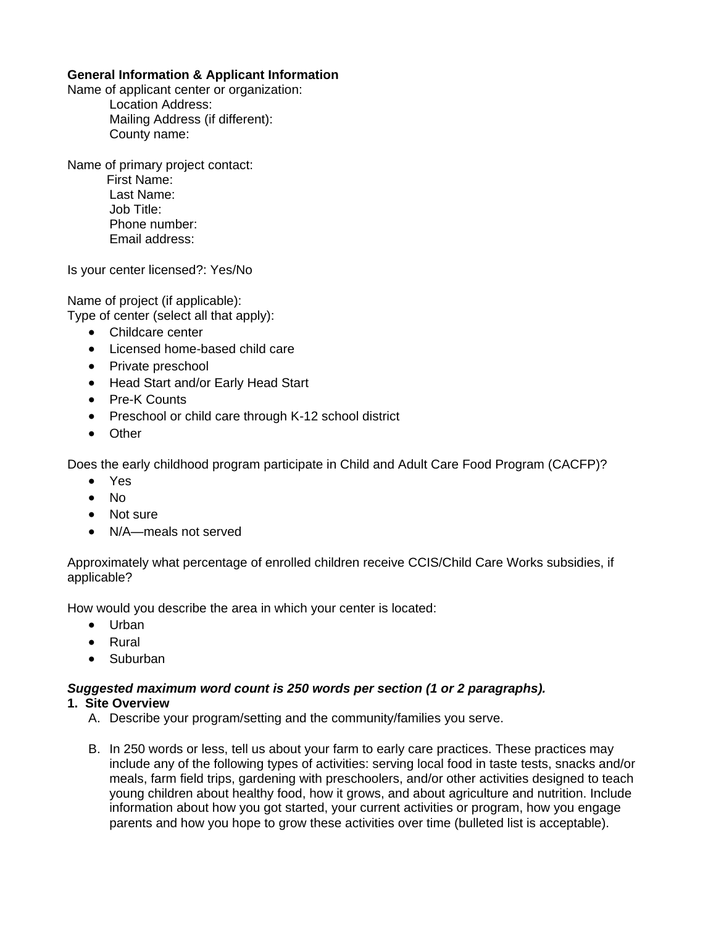# **General Information & Applicant Information**

Name of applicant center or organization:

Location Address: Mailing Address (if different): County name:

Name of primary project contact:

 First Name: Last Name: Job Title: Phone number: Email address:

Is your center licensed?: Yes/No

Name of project (if applicable): Type of center (select all that apply):

- Childcare center
- Licensed home-based child care
- Private preschool
- Head Start and/or Early Head Start
- Pre-K Counts
- Preschool or child care through K-12 school district
- Other

Does the early childhood program participate in Child and Adult Care Food Program (CACFP)?

- Yes
- $\bullet$  No
- Not sure
- N/A—meals not served

Approximately what percentage of enrolled children receive CCIS/Child Care Works subsidies, if applicable?

How would you describe the area in which your center is located:

- Urban
- Rural
- Suburban

### *Suggested maximum word count is 250 words per section (1 or 2 paragraphs).*

### **1. Site Overview**

- A. Describe your program/setting and the community/families you serve.
- B. In 250 words or less, tell us about your farm to early care practices. These practices may include any of the following types of activities: serving local food in taste tests, snacks and/or meals, farm field trips, gardening with preschoolers, and/or other activities designed to teach young children about healthy food, how it grows, and about agriculture and nutrition. Include information about how you got started, your current activities or program, how you engage parents and how you hope to grow these activities over time (bulleted list is acceptable).